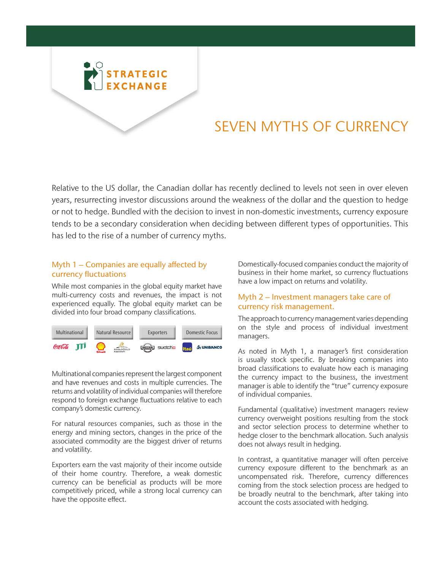

# SEVEN MYTHS OF CURRENCY

Relative to the US dollar, the Canadian dollar has recently declined to levels not seen in over eleven years, resurrecting investor discussions around the weakness of the dollar and the question to hedge or not to hedge. Bundled with the decision to invest in non-domestic investments, currency exposure tends to be a secondary consideration when deciding between different types of opportunities. This has led to the rise of a number of currency myths.

## Myth 1 – Companies are equally affected by currency fluctuations

While most companies in the global equity market have multi-currency costs and revenues, the impact is not experienced equally. The global equity market can be divided into four broad company classifications.



Multinational companies represent the largest component and have revenues and costs in multiple currencies. The returns and volatility of individual companies will therefore respond to foreign exchange fluctuations relative to each company's domestic currency.

For natural resources companies, such as those in the energy and mining sectors, changes in the price of the associated commodity are the biggest driver of returns and volatility.

Exporters earn the vast majority of their income outside of their home country. Therefore, a weak domestic currency can be beneficial as products will be more competitively priced, while a strong local currency can have the opposite effect.

Domestically-focused companies conduct the majority of business in their home market, so currency fluctuations have a low impact on returns and volatility.

## Myth 2 – Investment managers take care of currency risk management.

The approach to currency management varies depending on the style and process of individual investment managers.

As noted in Myth 1, a manager's first consideration is usually stock specific. By breaking companies into broad classifications to evaluate how each is managing the currency impact to the business, the investment manager is able to identify the "true" currency exposure of individual companies.

Fundamental (qualitative) investment managers review currency overweight positions resulting from the stock and sector selection process to determine whether to hedge closer to the benchmark allocation. Such analysis does not always result in hedging.

In contrast, a quantitative manager will often perceive currency exposure different to the benchmark as an uncompensated risk. Therefore, currency differences coming from the stock selection process are hedged to be broadly neutral to the benchmark, after taking into account the costs associated with hedging.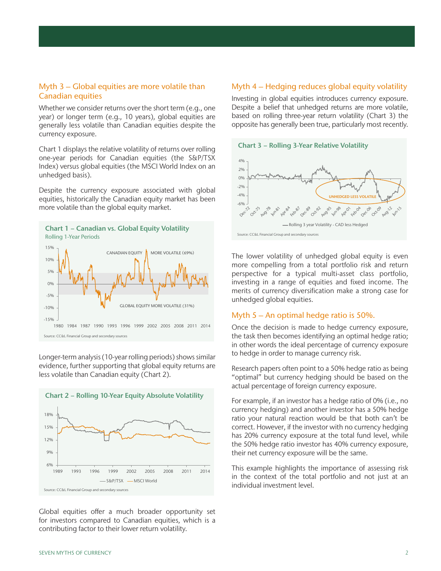#### Myth 3 – Global equities are more volatile than Canadian equities

Whether we consider returns over the short term (e.g., one year) or longer term (e.g., 10 years), global equities are generally less volatile than Canadian equities despite the currency exposure.

Chart 1 displays the relative volatility of returns over rolling one-year periods for Canadian equities (the S&P/TSX Index) versus global equities (the MSCI World Index on an unhedged basis).

Despite the currency exposure associated with global equities, historically the Canadian equity market has been more volatile than the global equity market.



Longer-term analysis (10-year rolling periods) shows similar evidence, further supporting that global equity returns are less volatile than Canadian equity (Chart 2).



Global equities offer a much broader opportunity set for investors compared to Canadian equities, which is a contributing factor to their lower return volatility.

#### Myth 4 – Hedging reduces global equity volatility

Investing in global equities introduces currency exposure. Despite a belief that unhedged returns are more volatile, based on rolling three-year return volatility (Chart 3) the opposite has generally been true, particularly most recently.



The lower volatility of unhedged global equity is even more compelling from a total portfolio risk and return perspective for a typical multi-asset class portfolio, investing in a range of equities and fixed income. The merits of currency diversification make a strong case for unhedged global equities.

#### Myth 5 – An optimal hedge ratio is 50%.

Once the decision is made to hedge currency exposure, the task then becomes identifying an optimal hedge ratio; in other words the ideal percentage of currency exposure to hedge in order to manage currency risk.

Research papers often point to a 50% hedge ratio as being "optimal" but currency hedging should be based on the actual percentage of foreign currency exposure.

For example, if an investor has a hedge ratio of 0% (i.e., no currency hedging) and another investor has a 50% hedge ratio your natural reaction would be that both can't be correct. However, if the investor with no currency hedging has 20% currency exposure at the total fund level, while the 50% hedge ratio investor has 40% currency exposure, their net currency exposure will be the same.

This example highlights the importance of assessing risk in the context of the total portfolio and not just at an individual investment level.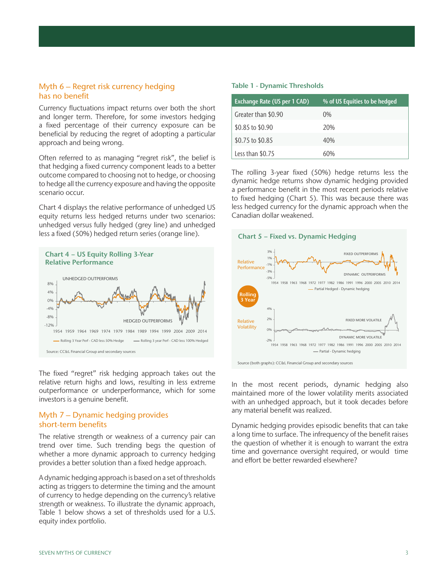### Myth 6 – Regret risk currency hedging has no benefit

Currency fluctuations impact returns over both the short and longer term. Therefore, for some investors hedging a fixed percentage of their currency exposure can be beneficial by reducing the regret of adopting a particular approach and being wrong.

Often referred to as managing "regret risk", the belief is that hedging a fixed currency component leads to a better outcome compared to choosing not to hedge, or choosing to hedge all the currency exposure and having the opposite scenario occur.

Chart 4 displays the relative performance of unhedged US equity returns less hedged returns under two scenarios: unhedged versus fully hedged (grey line) and unhedged less a fixed (50%) hedged return series (orange line).



The fixed "regret" risk hedging approach takes out the relative return highs and lows, resulting in less extreme outperformance or underperformance, which for some investors is a genuine benefit.

## Myth 7 – Dynamic hedging provides short-term benefits

The relative strength or weakness of a currency pair can trend over time. Such trending begs the question of whether a more dynamic approach to currency hedging provides a better solution than a fixed hedge approach.

A dynamic hedging approach is based on a set of thresholds acting as triggers to determine the timing and the amount of currency to hedge depending on the currency's relative strength or weakness. To illustrate the dynamic approach, Table 1 below shows a set of thresholds used for a U.S. equity index portfolio.

#### Table 1 - Dynamic Thresholds

| <b>Exchange Rate (US per 1 CAD)</b> | % of US Equities to be hedged |
|-------------------------------------|-------------------------------|
| Greater than \$0.90                 | $(0\%$                        |
| \$0.85 to \$0.90                    | 20%                           |
| \$0.75 to \$0.85                    | 40%                           |
| Less than \$0.75                    | 60%                           |

The rolling 3-year fixed (50%) hedge returns less the dynamic hedge returns show dynamic hedging provided a performance benefit in the most recent periods relative to fixed hedging (Chart 5). This was because there was less hedged currency for the dynamic approach when the Canadian dollar weakened.



Source (both graphs): CC&L Financial Group and secondary sources

In the most recent periods, dynamic hedging also maintained more of the lower volatility merits associated with an unhedged approach, but it took decades before any material benefit was realized.

Dynamic hedging provides episodic benefits that can take a long time to surface. The infrequency of the benefit raises the question of whether it is enough to warrant the extra time and governance oversight required, or would time and effort be better rewarded elsewhere?